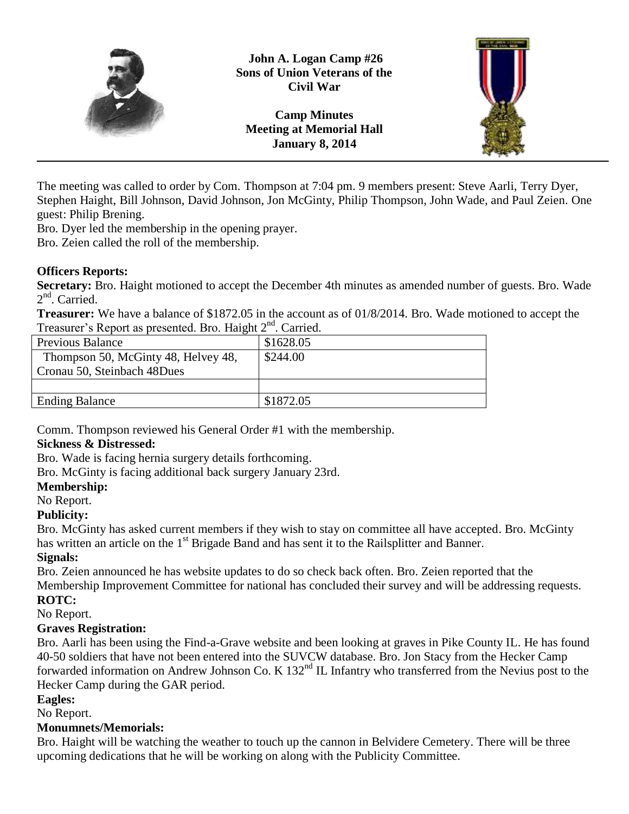

**John A. Logan Camp #26 Sons of Union Veterans of the Civil War**

**Camp Minutes Meeting at Memorial Hall January 8, 2014**



The meeting was called to order by Com. Thompson at 7:04 pm. 9 members present: Steve Aarli, Terry Dyer, Stephen Haight, Bill Johnson, David Johnson, Jon McGinty, Philip Thompson, John Wade, and Paul Zeien. One guest: Philip Brening.

Bro. Dyer led the membership in the opening prayer.

Bro. Zeien called the roll of the membership.

# **Officers Reports:**

**Secretary:** Bro. Haight motioned to accept the December 4th minutes as amended number of guests. Bro. Wade 2<sup>nd</sup>. Carried.

**Treasurer:** We have a balance of \$1872.05 in the account as of 01/8/2014. Bro. Wade motioned to accept the Treasurer's Report as presented. Bro. Haight 2<sup>nd</sup>. Carried.

| $\frac{1}{2}$                       |           |
|-------------------------------------|-----------|
| <b>Previous Balance</b>             | \$1628.05 |
| Thompson 50, McGinty 48, Helvey 48, | \$244.00  |
| Cronau 50, Steinbach 48Dues         |           |
|                                     |           |
| <b>Ending Balance</b>               | \$1872.05 |
|                                     |           |

Comm. Thompson reviewed his General Order #1 with the membership.

## **Sickness & Distressed:**

Bro. Wade is facing hernia surgery details forthcoming.

Bro. McGinty is facing additional back surgery January 23rd.

# **Membership:**

No Report.

## **Publicity:**

Bro. McGinty has asked current members if they wish to stay on committee all have accepted. Bro. McGinty has written an article on the 1<sup>st</sup> Brigade Band and has sent it to the Railsplitter and Banner.

## **Signals:**

Bro. Zeien announced he has website updates to do so check back often. Bro. Zeien reported that the

Membership Improvement Committee for national has concluded their survey and will be addressing requests. **ROTC:**

No Report.

# **Graves Registration:**

Bro. Aarli has been using the Find-a-Grave website and been looking at graves in Pike County IL. He has found 40-50 soldiers that have not been entered into the SUVCW database. Bro. Jon Stacy from the Hecker Camp forwarded information on Andrew Johnson Co. K 132<sup>nd</sup> IL Infantry who transferred from the Nevius post to the Hecker Camp during the GAR period.

## **Eagles:**

No Report.

## **Monumnets/Memorials:**

Bro. Haight will be watching the weather to touch up the cannon in Belvidere Cemetery. There will be three upcoming dedications that he will be working on along with the Publicity Committee.